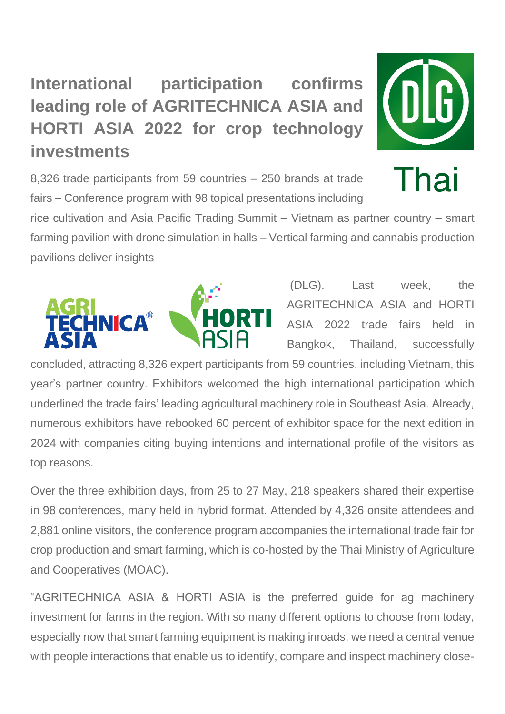## **International participation confirms leading role of AGRITECHNICA ASIA and HORTI ASIA 2022 for crop technology investments**



Thai

8,326 trade participants from 59 countries – 250 brands at trade fairs – Conference program with 98 topical presentations including

rice cultivation and Asia Pacific Trading Summit – Vietnam as partner country – smart farming pavilion with drone simulation in halls – Vertical farming and cannabis production pavilions deliver insights



(DLG). Last week, the AGRITECHNICA ASIA and HORTI ASIA 2022 trade fairs held in Bangkok, Thailand, successfully

concluded, attracting 8,326 expert participants from 59 countries, including Vietnam, this year's partner country. Exhibitors welcomed the high international participation which underlined the trade fairs' leading agricultural machinery role in Southeast Asia. Already, numerous exhibitors have rebooked 60 percent of exhibitor space for the next edition in 2024 with companies citing buying intentions and international profile of the visitors as top reasons.

Over the three exhibition days, from 25 to 27 May, 218 speakers shared their expertise in 98 conferences, many held in hybrid format. Attended by 4,326 onsite attendees and 2,881 online visitors, the conference program accompanies the international trade fair for crop production and smart farming, which is co-hosted by the Thai Ministry of Agriculture and Cooperatives (MOAC).

"AGRITECHNICA ASIA & HORTI ASIA is the preferred guide for ag machinery investment for farms in the region. With so many different options to choose from today, especially now that smart farming equipment is making inroads, we need a central venue with people interactions that enable us to identify, compare and inspect machinery close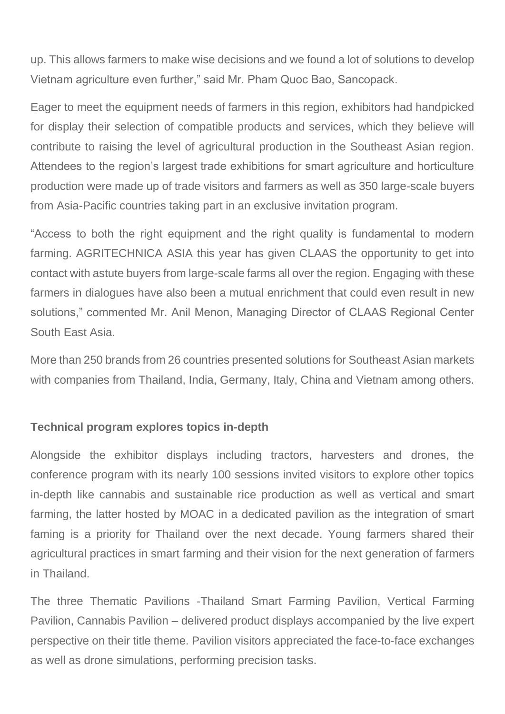up. This allows farmers to make wise decisions and we found a lot of solutions to develop Vietnam agriculture even further," said Mr. Pham Quoc Bao, Sancopack.

Eager to meet the equipment needs of farmers in this region, exhibitors had handpicked for display their selection of compatible products and services, which they believe will contribute to raising the level of agricultural production in the Southeast Asian region. Attendees to the region's largest trade exhibitions for smart agriculture and horticulture production were made up of trade visitors and farmers as well as 350 large-scale buyers from Asia-Pacific countries taking part in an exclusive invitation program.

"Access to both the right equipment and the right quality is fundamental to modern farming. AGRITECHNICA ASIA this year has given CLAAS the opportunity to get into contact with astute buyers from large-scale farms all over the region. Engaging with these farmers in dialogues have also been a mutual enrichment that could even result in new solutions," commented Mr. Anil Menon, Managing Director of CLAAS Regional Center South East Asia.

More than 250 brands from 26 countries presented solutions for Southeast Asian markets with companies from Thailand, India, Germany, Italy, China and Vietnam among others.

## **Technical program explores topics in-depth**

Alongside the exhibitor displays including tractors, harvesters and drones, the conference program with its nearly 100 sessions invited visitors to explore other topics in-depth like cannabis and sustainable rice production as well as vertical and smart farming, the latter hosted by MOAC in a dedicated pavilion as the integration of smart faming is a priority for Thailand over the next decade. Young farmers shared their agricultural practices in smart farming and their vision for the next generation of farmers in Thailand.

The three Thematic Pavilions -Thailand Smart Farming Pavilion, Vertical Farming Pavilion, Cannabis Pavilion – delivered product displays accompanied by the live expert perspective on their title theme. Pavilion visitors appreciated the face-to-face exchanges as well as drone simulations, performing precision tasks.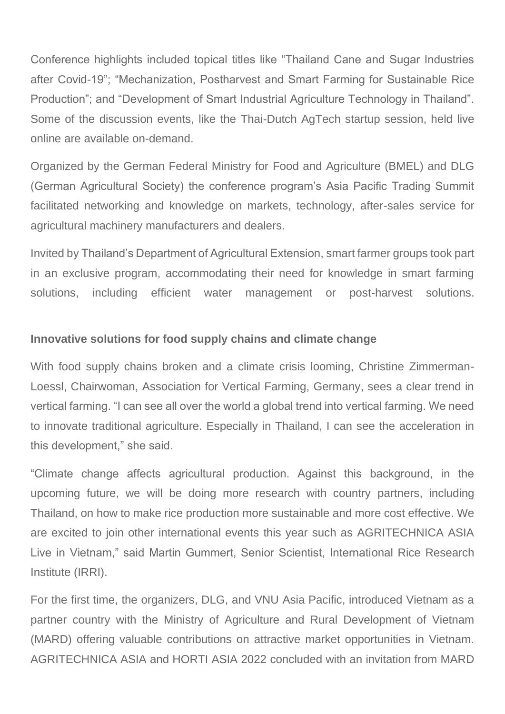Conference highlights included topical titles like "Thailand Cane and Sugar Industries after Covid-19"; "Mechanization, Postharvest and Smart Farming for Sustainable Rice Production"; and "Development of Smart Industrial Agriculture Technology in Thailand". Some of the discussion events, like the Thai-Dutch AgTech startup session, held live online are available on-demand.

Organized by the German Federal Ministry for Food and Agriculture (BMEL) and DLG (German Agricultural Society) the conference program's Asia Pacific Trading Summit facilitated networking and knowledge on markets, technology, after-sales service for agricultural machinery manufacturers and dealers.

Invited by Thailand's Department of Agricultural Extension, smart farmer groups took part in an exclusive program, accommodating their need for knowledge in smart farming solutions, including efficient water management or post-harvest solutions.

## **Innovative solutions for food supply chains and climate change**

With food supply chains broken and a climate crisis looming, Christine Zimmerman-Loessl, Chairwoman, Association for Vertical Farming, Germany, sees a clear trend in vertical farming. "I can see all over the world a global trend into vertical farming. We need to innovate traditional agriculture. Especially in Thailand, I can see the acceleration in this development," she said.

"Climate change affects agricultural production. Against this background, in the upcoming future, we will be doing more research with country partners, including Thailand, on how to make rice production more sustainable and more cost effective. We are excited to join other international events this year such as AGRITECHNICA ASIA Live in Vietnam," said Martin Gummert, Senior Scientist, International Rice Research Institute (IRRI).

For the first time, the organizers, DLG, and VNU Asia Pacific, introduced Vietnam as a partner country with the Ministry of Agriculture and Rural Development of Vietnam (MARD) offering valuable contributions on attractive market opportunities in Vietnam. AGRITECHNICA ASIA and HORTI ASIA 2022 concluded with an invitation from MARD